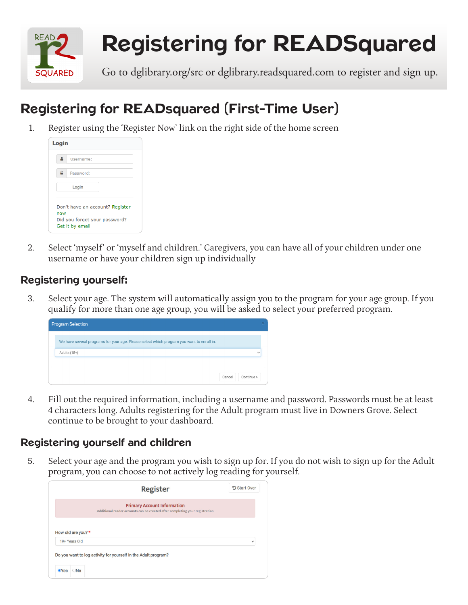

# Registering for READSquared

Go to dglibrary.org/src or dglibrary.readsquared.com to register and sign up.

## Registering for READsquared (First-Time User)

1. Register using the 'Register Now' link on the right side of the home screen

| Login |                                                                                     |
|-------|-------------------------------------------------------------------------------------|
|       | Username:                                                                           |
| ≏     | Password:                                                                           |
|       | Login                                                                               |
| now   | Don't have an account? Register<br>Did you forget your password?<br>Get it by email |

2. Select 'myself' or 'myself and children.' Caregivers, you can have all of your children under one username or have your children sign up individually

### Registering yourself:

3. Select your age. The system will automatically assign you to the program for your age group. If you qualify for more than one age group, you will be asked to select your preferred program.

| <b>Program Selection</b>                                                                  |        |              |
|-------------------------------------------------------------------------------------------|--------|--------------|
| We have several programs for your age. Please select which program you want to enroll in: |        |              |
| Adults (18+)                                                                              |        | $\checkmark$ |
|                                                                                           | Cancel | Continue >   |

4. Fill out the required information, including a username and password. Passwords must be at least 4 characters long. Adults registering for the Adult program must live in Downers Grove. Select continue to be brought to your dashboard.

#### Registering yourself and children

5. Select your age and the program you wish to sign up for. If you do not wish to sign up for the Adult program, you can choose to not actively log reading for yourself.

|                                     | <b>Register</b>                                                                                                    | つ Start Over |
|-------------------------------------|--------------------------------------------------------------------------------------------------------------------|--------------|
|                                     | <b>Primary Account Information</b><br>Additional reader accounts can be created after completing your registration |              |
|                                     |                                                                                                                    |              |
|                                     |                                                                                                                    |              |
| How old are you? *<br>19+ Years Old | Do you want to log activity for yourself in the Adult program?                                                     | $\checkmark$ |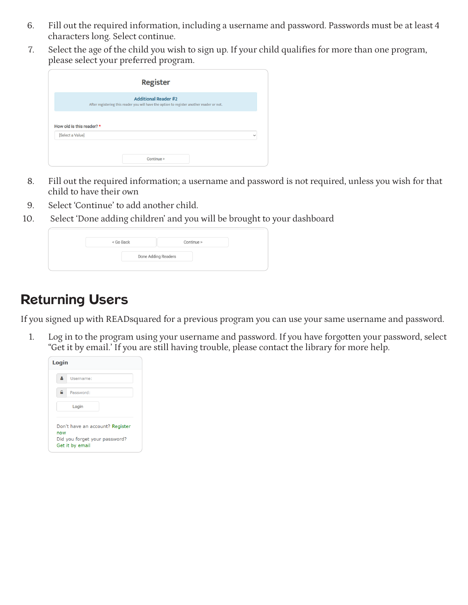- 6. Fill out the required information, including a username and password. Passwords must be at least 4 characters long. Select continue.
- 7. Select the age of the child you wish to sign up. If your child qualifies for more than one program, please select your preferred program.

|                           | <b>Register</b>                                                                                                          |              |
|---------------------------|--------------------------------------------------------------------------------------------------------------------------|--------------|
|                           | <b>Additional Reader #2</b><br>After registering this reader you will have the option to register another reader or not. |              |
| How old is this reader? * |                                                                                                                          |              |
| [Select a Value]          |                                                                                                                          | $\checkmark$ |
|                           | Continue >                                                                                                               |              |

- 8. Fill out the required information; a username and password is not required, unless you wish for that child to have their own
- 9. Select 'Continue' to add another child.
- 10. Select 'Done adding children' and you will be brought to your dashboard

| Done Adding Readers | < Go Back |  | Continue > |
|---------------------|-----------|--|------------|
|                     |           |  |            |

## Returning Users

If you signed up with READsquared for a previous program you can use your same username and password.

1. Log in to the program using your username and password. If you have forgotten your password, select "Get it by email.' If you are still having trouble, please contact the library for more help.

| Login |                                                                                     |
|-------|-------------------------------------------------------------------------------------|
|       | Username:                                                                           |
| ≏     | Password:                                                                           |
|       | Login                                                                               |
| now   | Don't have an account? Register<br>Did you forget your password?<br>Get it by email |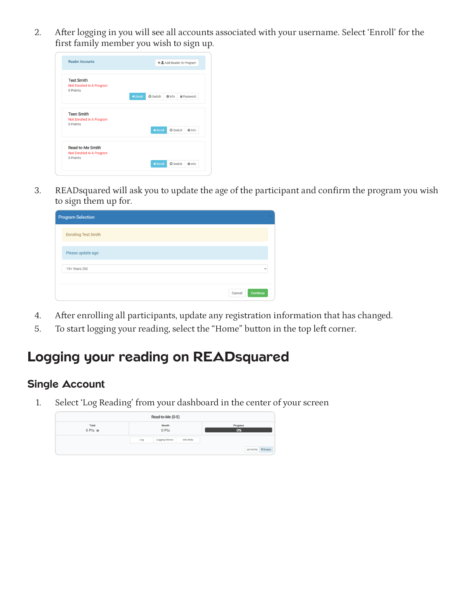2. After logging in you will see all accounts associated with your username. Select 'Enroll' for the first family member you wish to sign up.

| <b>Reader Accounts</b>                                     | + LAdd Reader Or Program                                   |
|------------------------------------------------------------|------------------------------------------------------------|
| <b>Test Smith</b><br>Not Enrolled In A Program             |                                                            |
| 0 Points                                                   |                                                            |
|                                                            | D Enroll<br><b>C</b> Switch<br>A Password<br><b>O</b> Info |
| <b>Teen Smith</b><br>Not Enrolled In A Program<br>0 Points | <b>&amp; Switch</b><br>D Enroll<br><b>O</b> Info           |
| <b>Read-to-Me Smith</b>                                    |                                                            |
| Not Enrolled In A Program<br>0 Points                      |                                                            |

3. READsquared will ask you to update the age of the participant and confirm the program you wish to sign them up for.

| <b>Program Selection</b>      |  |
|-------------------------------|--|
| <b>Enrolling Test Smith</b>   |  |
| Please update age:            |  |
| 19+ Years Old<br>$\checkmark$ |  |
| Continue<br>Cancel            |  |

- 4. After enrolling all participants, update any registration information that has changed.
- 5. To start logging your reading, select the "Home" button in the top left corner.

## Logging your reading on READsquared

#### Single Account

1. Select 'Log Reading' from your dashboard in the center of your screen

| Read-to-Me (0-5)                 |                |                        |           |                             |  |
|----------------------------------|----------------|------------------------|-----------|-----------------------------|--|
| <b>Total</b><br>$0$ Pts $\theta$ | Month<br>0 Pts |                        |           | Progress<br>0%              |  |
|                                  | Log            | <b>Logging History</b> | Info/Help |                             |  |
|                                  |                |                        |           | Le Activity <b>D</b> Badges |  |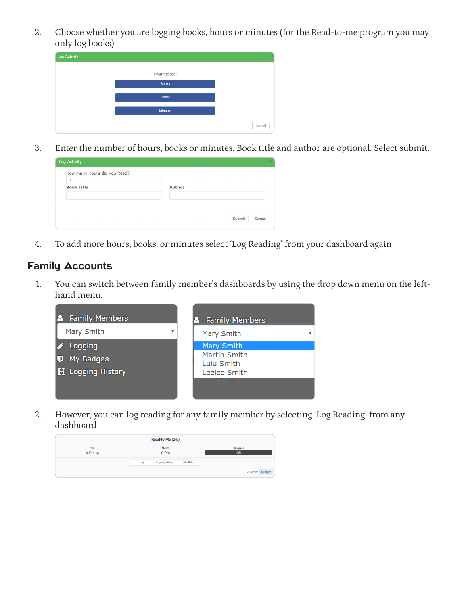2. Choose whether you are logging books, hours or minutes (for the Read-to-me program you may only log books)

| <b>Log Activity</b> |                |        |
|---------------------|----------------|--------|
|                     | I want to log: |        |
|                     | <b>Books</b>   |        |
|                     | <b>Hours</b>   |        |
|                     | <b>Minutes</b> |        |
|                     |                | Cancel |

3. Enter the number of hours, books or minutes. Book title and author are optional. Select submit.

| How many Hours did you Read? |        |  |
|------------------------------|--------|--|
| 1<br><b>Book Title</b>       | Author |  |
|                              |        |  |
|                              |        |  |

4. To add more hours, books, or minutes select 'Log Reading' from your dashboard again

#### Family Accounts

1. You can switch between family member's dashboards by using the drop down menu on the lefthand menu.



2. However, you can log reading for any family member by selecting 'Log Reading' from any dashboard

| Read-to-Me (0-5)                 |                |                        |           |                          |
|----------------------------------|----------------|------------------------|-----------|--------------------------|
| <b>Total</b><br>$0$ Pts $\theta$ | Month<br>0 Pts |                        |           | Progress<br>0%           |
|                                  | Log            | <b>Logging History</b> | Info/Help |                          |
|                                  |                |                        |           | Activity <b>D</b> Badges |